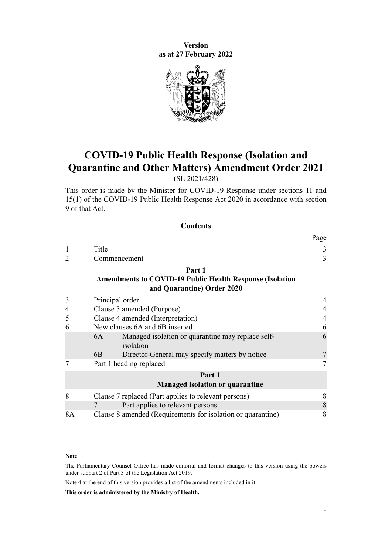**Version as at 27 February 2022**



# **COVID-19 Public Health Response (Isolation and Quarantine and Other Matters) Amendment Order 2021**

(SL 2021/428)

This order is made by the Minister for COVID-19 Response under [sections 11](http://legislation.govt.nz/pdflink.aspx?id=LMS344177) and [15\(1\)](http://legislation.govt.nz/pdflink.aspx?id=LMS344183) of the [COVID-19 Public Health Response Act 2020](http://legislation.govt.nz/pdflink.aspx?id=LMS344121) in accordance with [section](http://legislation.govt.nz/pdflink.aspx?id=LMS344175) [9](http://legislation.govt.nz/pdflink.aspx?id=LMS344175) of that Act.

### **Contents**

|    |                                                                                               | Page           |
|----|-----------------------------------------------------------------------------------------------|----------------|
| 1  | Title                                                                                         | 3              |
| 2  | Commencement                                                                                  | 3              |
|    | Part 1                                                                                        |                |
|    | <b>Amendments to COVID-19 Public Health Response (Isolation</b><br>and Quarantine) Order 2020 |                |
| 3  | Principal order                                                                               | 4              |
| 4  | Clause 3 amended (Purpose)                                                                    | 4              |
| 5  | Clause 4 amended (Interpretation)                                                             | $\overline{4}$ |
| 6  | New clauses 6A and 6B inserted                                                                | 6              |
|    | Managed isolation or quarantine may replace self-<br>6A<br>isolation                          | 6              |
|    | Director-General may specify matters by notice<br>6B                                          | $\overline{7}$ |
|    | Part 1 heading replaced                                                                       |                |
|    | Part 1<br><b>Managed isolation or quarantine</b>                                              |                |
| 8  | Clause 7 replaced (Part applies to relevant persons)                                          | 8              |
|    | Part applies to relevant persons                                                              | 8              |
| 8A | Clause 8 amended (Requirements for isolation or quarantine)                                   | 8              |

**Note**

The Parliamentary Counsel Office has made editorial and format changes to this version using the powers under [subpart 2](http://legislation.govt.nz/pdflink.aspx?id=DLM7298371) of Part 3 of the Legislation Act 2019.

Note 4 at the end of this version provides a list of the amendments included in it.

**This order is administered by the Ministry of Health.**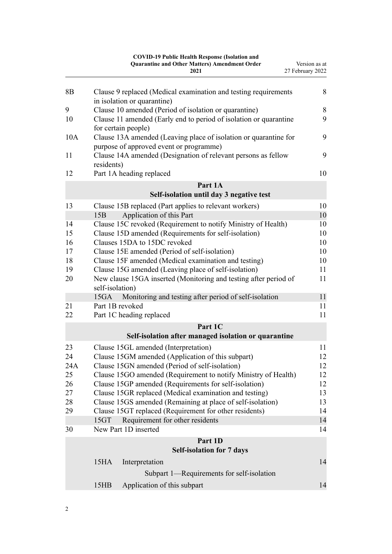|          | <b>COVID-19 Public Health Response (Isolation and</b><br><b>Quarantine and Other Matters) Amendment Order</b><br>2021 | Version as at<br>27 February 2022 |
|----------|-----------------------------------------------------------------------------------------------------------------------|-----------------------------------|
| 8B       | Clause 9 replaced (Medical examination and testing requirements<br>in isolation or quarantine)                        | 8                                 |
| 9        | Clause 10 amended (Period of isolation or quarantine)                                                                 | 8                                 |
| 10       | Clause 11 amended (Early end to period of isolation or quarantine<br>for certain people)                              | 9                                 |
| 10A      | Clause 13A amended (Leaving place of isolation or quarantine for<br>purpose of approved event or programme)           | 9                                 |
| 11       | Clause 14A amended (Designation of relevant persons as fellow<br>residents)                                           | 9                                 |
| 12       | Part 1A heading replaced                                                                                              | 10                                |
|          | Part 1A<br>Self-isolation until day 3 negative test                                                                   |                                   |
| 13       | Clause 15B replaced (Part applies to relevant workers)                                                                | 10                                |
|          | Application of this Part<br>15B                                                                                       | 10                                |
| 14       | Clause 15C revoked (Requirement to notify Ministry of Health)                                                         | 10                                |
| 15       | Clause 15D amended (Requirements for self-isolation)                                                                  | 10                                |
| 16       | Clauses 15DA to 15DC revoked                                                                                          | 10                                |
| 17       | Clause 15E amended (Period of self-isolation)                                                                         | 10                                |
| 18       | Clause 15F amended (Medical examination and testing)                                                                  | 10                                |
| 19       | Clause 15G amended (Leaving place of self-isolation)                                                                  | 11                                |
| 20       | New clause 15GA inserted (Monitoring and testing after period of<br>self-isolation)                                   | 11                                |
|          | Monitoring and testing after period of self-isolation<br>15GA                                                         | 11                                |
| 21<br>22 | Part 1B revoked<br>Part 1C heading replaced                                                                           | 11<br>11                          |
|          | Part 1C                                                                                                               |                                   |
|          | Self-isolation after managed isolation or quarantine                                                                  |                                   |
| 23       | Clause 15GL amended (Interpretation)                                                                                  | 11                                |
| 24       | Clause 15GM amended (Application of this subpart)                                                                     | 12                                |
| 24A      | Clause 15GN amended (Period of self-isolation)                                                                        | 12                                |
| 25       | Clause 15GO amended (Requirement to notify Ministry of Health)                                                        | 12                                |
| 26       | Clause 15GP amended (Requirements for self-isolation)                                                                 | 12                                |
| 27       | Clause 15GR replaced (Medical examination and testing)                                                                | 13                                |
| 28       | Clause 15GS amended (Remaining at place of self-isolation)                                                            | 13                                |
| 29       | Clause 15GT replaced (Requirement for other residents)                                                                | 14                                |
|          | 15GT<br>Requirement for other residents                                                                               | 14                                |
| 30       | New Part 1D inserted                                                                                                  | 14                                |
|          | Part 1D                                                                                                               |                                   |
|          | <b>Self-isolation for 7 days</b>                                                                                      |                                   |
|          | 15 <sub>HA</sub><br>Interpretation                                                                                    | 14                                |
|          | Subpart 1—Requirements for self-isolation                                                                             |                                   |
|          | 15HB<br>Application of this subpart                                                                                   | 14                                |
|          |                                                                                                                       |                                   |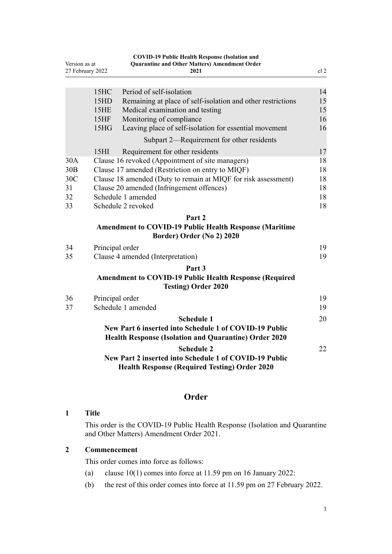<span id="page-2-0"></span>

| Version as at<br>27 February 2022 |                                           | <b>COVID-19 Public Health Response (Isolation and</b><br><b>Quarantine and Other Matters) Amendment Order</b><br>2021 | cl <sub>2</sub> |
|-----------------------------------|-------------------------------------------|-----------------------------------------------------------------------------------------------------------------------|-----------------|
|                                   |                                           |                                                                                                                       |                 |
|                                   | 15HC                                      | Period of self-isolation                                                                                              | 14              |
|                                   | 15HD                                      | Remaining at place of self-isolation and other restrictions                                                           | 15              |
|                                   | 15HE                                      | Medical examination and testing                                                                                       | 15              |
|                                   | 15HF                                      | Monitoring of compliance                                                                                              | 16              |
|                                   | 15 <sub>H</sub> G                         | Leaving place of self-isolation for essential movement                                                                | 16              |
|                                   |                                           | Subpart 2—Requirement for other residents                                                                             |                 |
|                                   | 15 <sub>HI</sub>                          | Requirement for other residents                                                                                       | 17              |
| 30A                               |                                           | Clause 16 revoked (Appointment of site managers)                                                                      | 18              |
| 30B                               |                                           | Clause 17 amended (Restriction on entry to MIQF)                                                                      | 18              |
| 30C                               |                                           | Clause 18 amended (Duty to remain at MIQF for risk assessment)                                                        | 18<br>18        |
| 31                                | Clause 20 amended (Infringement offences) |                                                                                                                       |                 |
| 32                                |                                           | Schedule 1 amended                                                                                                    | 18              |
| 33                                |                                           | Schedule 2 revoked                                                                                                    | 18              |
|                                   |                                           | Part 2                                                                                                                |                 |
|                                   |                                           | <b>Amendment to COVID-19 Public Health Response (Maritime</b>                                                         |                 |
|                                   |                                           | Border) Order (No 2) 2020                                                                                             |                 |
| 34                                |                                           | Principal order                                                                                                       | 19              |
| 35                                |                                           | Clause 4 amended (Interpretation)                                                                                     | 19              |
|                                   |                                           | Part 3                                                                                                                |                 |
|                                   |                                           | <b>Amendment to COVID-19 Public Health Response (Required</b><br><b>Testing) Order 2020</b>                           |                 |
| 36                                |                                           | Principal order                                                                                                       | 19              |
| 37                                |                                           | Schedule 1 amended                                                                                                    | 19              |
|                                   |                                           | <b>Schedule 1</b>                                                                                                     | 20              |
|                                   |                                           | New Part 6 inserted into Schedule 1 of COVID-19 Public                                                                |                 |
|                                   |                                           | <b>Health Response (Isolation and Quarantine) Order 2020</b>                                                          |                 |
|                                   |                                           | <b>Schedule 2</b>                                                                                                     | 22              |
|                                   |                                           | New Part 2 inserted into Schedule 1 of COVID-19 Public<br><b>Health Response (Required Testing) Order 2020</b>        |                 |
|                                   |                                           |                                                                                                                       |                 |

# **Order**

# **1 Title**

This order is the COVID-19 Public Health Response (Isolation and Quarantine and Other Matters) Amendment Order 2021.

# **2 Commencement**

This order comes into force as follows:

- (a) [clause 10\(1\)](#page-8-0) comes into force at 11.59 pm on 16 January 2022:
- (b) the rest of this order comes into force at 11.59 pm on 27 February 2022.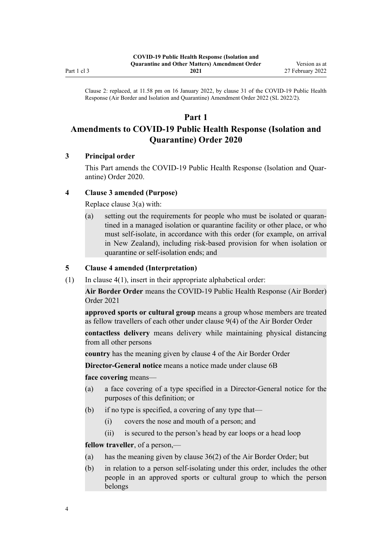<span id="page-3-0"></span>Clause 2: replaced, at 11.58 pm on 16 January 2022, by [clause 31](http://legislation.govt.nz/pdflink.aspx?id=LMS629331) of the COVID-19 Public Health Response (Air Border and Isolation and Quarantine) Amendment Order 2022 (SL 2022/2).

# **Part 1**

# **Amendments to COVID-19 Public Health Response (Isolation and Quarantine) Order 2020**

# **3 Principal order**

This Part amends the [COVID-19 Public Health Response \(Isolation and Quar‐](http://legislation.govt.nz/pdflink.aspx?id=LMS401666) [antine\) Order 2020.](http://legislation.govt.nz/pdflink.aspx?id=LMS401666)

## **4 Clause 3 amended (Purpose)**

Replace [clause 3\(a\)](http://legislation.govt.nz/pdflink.aspx?id=LMS401672) with:

(a) setting out the requirements for people who must be isolated or quaran‐ tined in a managed isolation or quarantine facility or other place, or who must self-isolate, in accordance with this order (for example, on arrival in New Zealand), including risk-based provision for when isolation or quarantine or self-isolation ends; and

## **5 Clause 4 amended (Interpretation)**

(1) In clause  $4(1)$ , insert in their appropriate alphabetical order:

**Air Border Order** means the COVID-19 Public Health Response (Air Border) Order 2021

**approved sports or cultural group** means a group whose members are treated as fellow travellers of each other under clause 9(4) of the Air Border Order

**contactless delivery** means delivery while maintaining physical distancing from all other persons

**country** has the meaning given by clause 4 of the Air Border Order

**Director-General notice** means a notice made under clause 6B

**face covering** means—

- (a) a face covering of a type specified in a Director-General notice for the purposes of this definition; or
- (b) if no type is specified, a covering of any type that—
	- (i) covers the nose and mouth of a person; and
	- (ii) is secured to the person's head by ear loops or a head loop

**fellow traveller**, of a person,—

- (a) has the meaning given by clause 36(2) of the Air Border Order; but
- (b) in relation to a person self-isolating under this order, includes the other people in an approved sports or cultural group to which the person belongs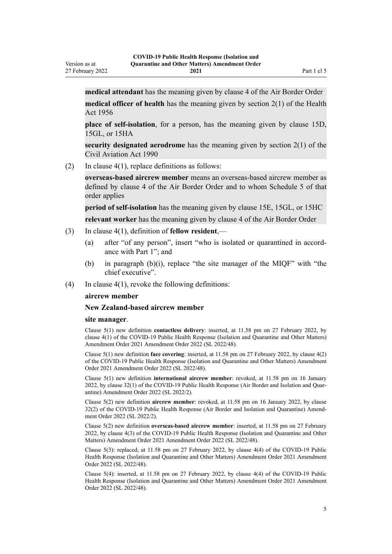27 February 2022

**medical attendant** has the meaning given by clause 4 of the Air Border Order **medical officer of health** has the meaning given by section 2(1) of the Health Act 1956

**place of self-isolation**, for a person, has the meaning given by clause 15D, 15GL, or 15HA

**security designated aerodrome** has the meaning given by section 2(1) of the Civil Aviation Act 1990

(2) In clause  $4(1)$ , replace definitions as follows:

**overseas-based aircrew member** means an overseas-based aircrew member as defined by clause 4 of the Air Border Order and to whom Schedule 5 of that order applies

**period of self-isolation** has the meaning given by clause 15E, 15GL, or 15HC

**relevant worker** has the meaning given by clause 4 of the Air Border Order

- (3) In [clause 4\(1\)](http://legislation.govt.nz/pdflink.aspx?id=LMS401701), definition of **fellow resident**,—
	- (a) after "of any person", insert "who is isolated or quarantined in accord‐ ance with Part 1"; and
	- (b) in paragraph (b)(i), replace "the site manager of the MIQF" with "the chief executive".
- (4) In clause  $4(1)$ , revoke the following definitions:

#### **aircrew member**

#### **New Zealand-based aircrew member**

#### **site manager**.

Version as at

Clause 5(1) new definition **contactless delivery**: inserted, at 11.58 pm on 27 February 2022, by [clause 4\(1\)](http://legislation.govt.nz/pdflink.aspx?id=LMS650691) of the COVID-19 Public Health Response (Isolation and Quarantine and Other Matters) Amendment Order 2021 Amendment Order 2022 (SL 2022/48).

Clause 5(1) new definition **face covering**: inserted, at 11.58 pm on 27 February 2022, by [clause 4\(2\)](http://legislation.govt.nz/pdflink.aspx?id=LMS650691) of the COVID-19 Public Health Response (Isolation and Quarantine and Other Matters) Amendment Order 2021 Amendment Order 2022 (SL 2022/48).

Clause 5(1) new definition **international aircrew member**: revoked, at 11.58 pm on 16 January 2022, by [clause 32\(1\)](http://legislation.govt.nz/pdflink.aspx?id=LMS629337) of the COVID-19 Public Health Response (Air Border and Isolation and Quarantine) Amendment Order 2022 (SL 2022/2).

Clause 5(2) new definition **aircrew member**: revoked, at 11.58 pm on 16 January 2022, by [clause](http://legislation.govt.nz/pdflink.aspx?id=LMS629337) [32\(2\)](http://legislation.govt.nz/pdflink.aspx?id=LMS629337) of the COVID-19 Public Health Response (Air Border and Isolation and Quarantine) Amend‐ ment Order 2022 (SL 2022/2).

Clause 5(2) new definition **overseas-based aircrew member**: inserted, at 11.58 pm on 27 February 2022, by [clause 4\(3\)](http://legislation.govt.nz/pdflink.aspx?id=LMS650691) of the COVID-19 Public Health Response (Isolation and Quarantine and Other Matters) Amendment Order 2021 Amendment Order 2022 (SL 2022/48).

Clause 5(3): replaced, at 11.58 pm on 27 February 2022, by [clause 4\(4\)](http://legislation.govt.nz/pdflink.aspx?id=LMS650691) of the COVID-19 Public Health Response (Isolation and Quarantine and Other Matters) Amendment Order 2021 Amendment Order 2022 (SL 2022/48).

Clause 5(4): inserted, at 11.58 pm on 27 February 2022, by [clause 4\(4\)](http://legislation.govt.nz/pdflink.aspx?id=LMS650691) of the COVID-19 Public Health Response (Isolation and Quarantine and Other Matters) Amendment Order 2021 Amendment Order 2022 (SL 2022/48).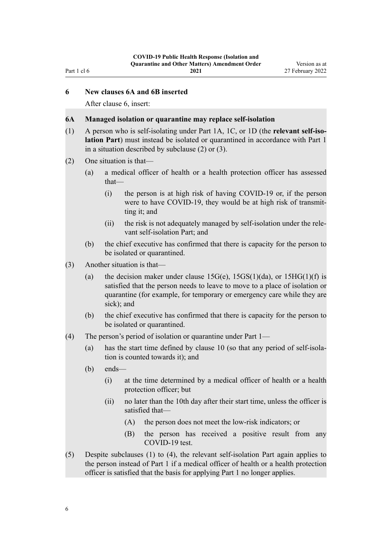## <span id="page-5-0"></span>**6 New clauses 6A and 6B inserted**

After [clause 6,](http://legislation.govt.nz/pdflink.aspx?id=LMS401703) insert:

#### **6A Managed isolation or quarantine may replace self-isolation**

- (1) A person who is self-isolating under Part 1A, 1C, or 1D (the **relevant self-iso‐ lation Part**) must instead be isolated or quarantined in accordance with Part 1 in a situation described by subclause (2) or (3).
- (2) One situation is that—
	- (a) a medical officer of health or a health protection officer has assessed that—
		- (i) the person is at high risk of having COVID-19 or, if the person were to have COVID-19, they would be at high risk of transmitting it; and
		- (ii) the risk is not adequately managed by self-isolation under the rele‐ vant self-isolation Part; and
	- (b) the chief executive has confirmed that there is capacity for the person to be isolated or quarantined.
- (3) Another situation is that—
	- (a) the decision maker under clause  $15G(e)$ ,  $15GS(1)(da)$ , or  $15HG(1)(f)$  is satisfied that the person needs to leave to move to a place of isolation or quarantine (for example, for temporary or emergency care while they are sick); and
	- (b) the chief executive has confirmed that there is capacity for the person to be isolated or quarantined.
- (4) The person's period of isolation or quarantine under Part 1—
	- (a) has the start time defined by clause 10 (so that any period of self-isola‐ tion is counted towards it); and
	- (b) ends—
		- (i) at the time determined by a medical officer of health or a health protection officer; but
		- (ii) no later than the 10th day after their start time, unless the officer is satisfied that—
			- (A) the person does not meet the low-risk indicators; or
			- (B) the person has received a positive result from any COVID-19 test.
- (5) Despite subclauses (1) to (4), the relevant self-isolation Part again applies to the person instead of Part 1 if a medical officer of health or a health protection officer is satisfied that the basis for applying Part 1 no longer applies.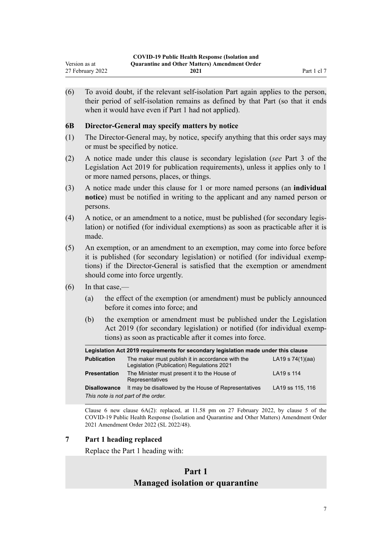<span id="page-6-0"></span>(6) To avoid doubt, if the relevant self-isolation Part again applies to the person, their period of self-isolation remains as defined by that Part (so that it ends when it would have even if Part 1 had not applied).

## **6B Director-General may specify matters by notice**

- (1) The Director-General may, by notice, specify anything that this order says may or must be specified by notice.
- (2) A notice made under this clause is secondary legislation (*see* Part 3 of the Legislation Act 2019 for publication requirements), unless it applies only to 1 or more named persons, places, or things.
- (3) A notice made under this clause for 1 or more named persons (an **individual notice**) must be notified in writing to the applicant and any named person or persons.
- (4) A notice, or an amendment to a notice, must be published (for secondary legis‐ lation) or notified (for individual exemptions) as soon as practicable after it is made.
- (5) An exemption, or an amendment to an exemption, may come into force before it is published (for secondary legislation) or notified (for individual exemp‐ tions) if the Director-General is satisfied that the exemption or amendment should come into force urgently.
- (6) In that case,—
	- (a) the effect of the exemption (or amendment) must be publicly announced before it comes into force; and
	- (b) the exemption or amendment must be published under the Legislation Act 2019 (for secondary legislation) or notified (for individual exemptions) as soon as practicable after it comes into force.

| Legislation Act 2019 requirements for secondary legislation made under this clause |                                                                                                |                    |  |
|------------------------------------------------------------------------------------|------------------------------------------------------------------------------------------------|--------------------|--|
| <b>Publication</b>                                                                 | The maker must publish it in accordance with the<br>Legislation (Publication) Regulations 2021 | LA19 s $74(1)(aa)$ |  |
| <b>Presentation</b>                                                                | The Minister must present it to the House of<br>Representatives                                | LA19 s 114         |  |
| <b>Disallowance</b>                                                                | It may be disallowed by the House of Representatives                                           | LA19 ss 115, 116   |  |
| This note is not part of the order.                                                |                                                                                                |                    |  |

Clause 6 new clause  $6A(2)$ : replaced, at 11.58 pm on 27 February 2022, by [clause 5](http://legislation.govt.nz/pdflink.aspx?id=LMS650692) of the COVID-19 Public Health Response (Isolation and Quarantine and Other Matters) Amendment Order 2021 Amendment Order 2022 (SL 2022/48).

# **7 Part 1 heading replaced**

Replace the [Part 1](http://legislation.govt.nz/pdflink.aspx?id=LMS401726) heading with:

# **Part 1 Managed isolation or quarantine**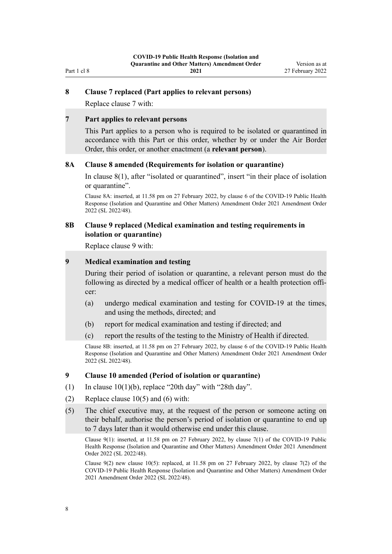#### **8 Clause 7 replaced (Part applies to relevant persons)**

Replace [clause 7](http://legislation.govt.nz/pdflink.aspx?id=LMS401705) with:

<span id="page-7-0"></span>Part 1 cl 8

#### **7 Part applies to relevant persons**

This Part applies to a person who is required to be isolated or quarantined in accordance with this Part or this order, whether by or under the Air Border Order, this order, or another enactment (a **relevant person**).

### **8A Clause 8 amended (Requirements for isolation or quarantine)**

In [clause 8\(1\)](http://legislation.govt.nz/pdflink.aspx?id=LMS401706), after "isolated or quarantined", insert "in their place of isolation or quarantine".

Clause 8A: inserted, at 11.58 pm on 27 February 2022, by [clause 6](http://legislation.govt.nz/pdflink.aspx?id=LMS650696) of the COVID-19 Public Health Response (Isolation and Quarantine and Other Matters) Amendment Order 2021 Amendment Order 2022 (SL 2022/48).

#### **8B Clause 9 replaced (Medical examination and testing requirements in isolation or quarantine)**

Replace [clause 9](http://legislation.govt.nz/pdflink.aspx?id=LMS401707) with:

## **9 Medical examination and testing**

During their period of isolation or quarantine, a relevant person must do the following as directed by a medical officer of health or a health protection officer:

- (a) undergo medical examination and testing for COVID-19 at the times, and using the methods, directed; and
- (b) report for medical examination and testing if directed; and
- (c) report the results of the testing to the Ministry of Health if directed.

Clause 8B: inserted, at 11.58 pm on 27 February 2022, by [clause 6](http://legislation.govt.nz/pdflink.aspx?id=LMS650696) of the COVID-19 Public Health Response (Isolation and Quarantine and Other Matters) Amendment Order 2021 Amendment Order 2022 (SL 2022/48).

#### **9 Clause 10 amended (Period of isolation or quarantine)**

- (1) In clause  $10(1)(b)$ , replace "20th day" with "28th day".
- (2) Replace clause  $10(5)$  and (6) with:
- (5) The chief executive may, at the request of the person or someone acting on their behalf, authorise the person's period of isolation or quarantine to end up to 7 days later than it would otherwise end under this clause.

Clause 9(1): inserted, at 11.58 pm on 27 February 2022, by [clause 7\(1\)](http://legislation.govt.nz/pdflink.aspx?id=LMS650697) of the COVID-19 Public Health Response (Isolation and Quarantine and Other Matters) Amendment Order 2021 Amendment Order 2022 (SL 2022/48).

Clause 9(2) new clause 10(5): replaced, at 11.58 pm on 27 February 2022, by [clause 7\(2\)](http://legislation.govt.nz/pdflink.aspx?id=LMS650697) of the COVID-19 Public Health Response (Isolation and Quarantine and Other Matters) Amendment Order 2021 Amendment Order 2022 (SL 2022/48).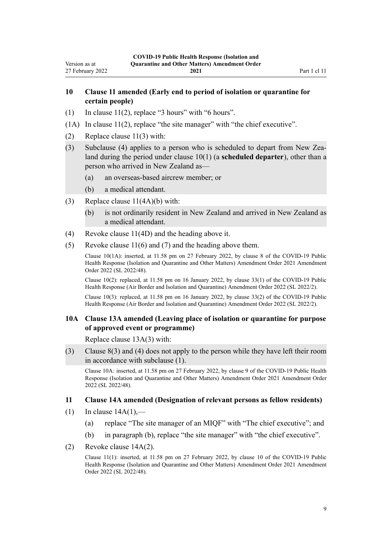# <span id="page-8-0"></span>**10 Clause 11 amended (Early end to period of isolation or quarantine for certain people)**

- (1) In clause  $11(2)$ , replace "3 hours" with "6 hours".
- (1A) In [clause 11\(2\),](http://legislation.govt.nz/pdflink.aspx?id=LMS401717) replace "the site manager" with "the chief executive".
- (2) Replace [clause 11\(3\)](http://legislation.govt.nz/pdflink.aspx?id=LMS401717) with:
- (3) Subclause (4) applies to a person who is scheduled to depart from New Zea‐ land during the period under clause 10(1) (a **scheduled departer**), other than a person who arrived in New Zealand as—
	- (a) an overseas-based aircrew member; or
	- (b) a medical attendant.
- (3) Replace [clause 11\(4A\)\(b\)](http://legislation.govt.nz/pdflink.aspx?id=LMS401717) with:
	- (b) is not ordinarily resident in New Zealand and arrived in New Zealand as a medical attendant.
- (4) Revoke [clause 11\(4D\)](http://legislation.govt.nz/pdflink.aspx?id=LMS401717) and the heading above it.
- (5) Revoke [clause 11\(6\) and \(7\)](http://legislation.govt.nz/pdflink.aspx?id=LMS401717) and the heading above them.

Clause 10(1A): inserted, at 11.58 pm on 27 February 2022, by [clause 8](http://legislation.govt.nz/pdflink.aspx?id=LMS650698) of the COVID-19 Public Health Response (Isolation and Quarantine and Other Matters) Amendment Order 2021 Amendment Order 2022 (SL 2022/48).

Clause 10(2): replaced, at 11.58 pm on 16 January 2022, by [clause 33\(1\)](http://legislation.govt.nz/pdflink.aspx?id=LMS629339) of the COVID-19 Public Health Response (Air Border and Isolation and Quarantine) Amendment Order 2022 (SL 2022/2).

Clause 10(3): replaced, at 11.58 pm on 16 January 2022, by [clause 33\(2\)](http://legislation.govt.nz/pdflink.aspx?id=LMS629339) of the COVID-19 Public Health Response (Air Border and Isolation and Quarantine) Amendment Order 2022 (SL 2022/2).

#### **10A Clause 13A amended (Leaving place of isolation or quarantine for purpose of approved event or programme)**

Replace [clause 13A\(3\)](http://legislation.govt.nz/pdflink.aspx?id=LMS650107) with:

(3) Clause 8(3) and (4) does not apply to the person while they have left their room in accordance with subclause (1).

Clause 10A: inserted, at 11.58 pm on 27 February 2022, by [clause 9](http://legislation.govt.nz/pdflink.aspx?id=LMS650700) of the COVID-19 Public Health Response (Isolation and Quarantine and Other Matters) Amendment Order 2021 Amendment Order 2022 (SL 2022/48).

#### **11 Clause 14A amended (Designation of relevant persons as fellow residents)**

- $(1)$  In clause  $14A(1)$ ,
	- (a) replace "The site manager of an MIQF" with "The chief executive"; and
	- (b) in paragraph (b), replace "the site manager" with "the chief executive".
- (2) Revoke [clause 14A\(2\)](http://legislation.govt.nz/pdflink.aspx?id=LMS415251).

Clause 11(1): inserted, at 11.58 pm on 27 February 2022, by [clause 10](http://legislation.govt.nz/pdflink.aspx?id=LMS650701) of the COVID-19 Public Health Response (Isolation and Quarantine and Other Matters) Amendment Order 2021 Amendment Order 2022 (SL 2022/48).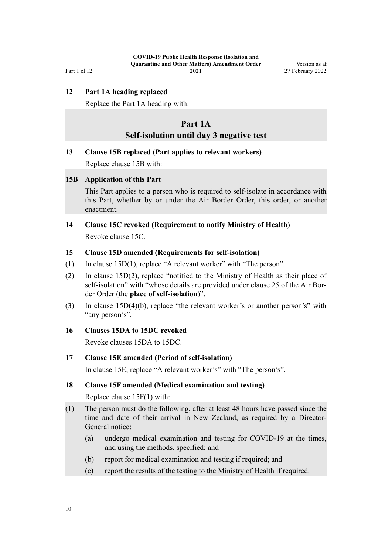<span id="page-9-0"></span>Part 1 cl 12

**2021**

# **12 Part 1A heading replaced**

Replace the [Part 1A](http://legislation.govt.nz/pdflink.aspx?id=LMS415267) heading with:

# **Part 1A Self-isolation until day 3 negative test**

#### **13 Clause 15B replaced (Part applies to relevant workers)**

Replace [clause 15B](http://legislation.govt.nz/pdflink.aspx?id=LMS415259) with:

### **15B Application of this Part**

This Part applies to a person who is required to self-isolate in accordance with this Part, whether by or under the Air Border Order, this order, or another enactment.

# **14 Clause 15C revoked (Requirement to notify Ministry of Health)**

Revoke [clause 15C.](http://legislation.govt.nz/pdflink.aspx?id=LMS415261)

## **15 Clause 15D amended (Requirements for self-isolation)**

- (1) In [clause 15D\(1\)](http://legislation.govt.nz/pdflink.aspx?id=LMS415262), replace "A relevant worker" with "The person".
- (2) In [clause 15D\(2\),](http://legislation.govt.nz/pdflink.aspx?id=LMS415262) replace "notified to the Ministry of Health as their place of self-isolation" with "whose details are provided under clause 25 of the Air Border Order (the **place of self-isolation**)".
- (3) In [clause 15D\(4\)\(b\)](http://legislation.govt.nz/pdflink.aspx?id=LMS415262), replace "the relevant worker's or another person's" with "any person's".

## **16 Clauses 15DA to 15DC revoked**

Revoke [clauses 15DA to 15DC.](http://legislation.govt.nz/pdflink.aspx?id=LMS439201)

#### **17 Clause 15E amended (Period of self-isolation)**

In [clause 15E,](http://legislation.govt.nz/pdflink.aspx?id=LMS415264) replace "A relevant worker's" with "The person's".

#### **18 Clause 15F amended (Medical examination and testing)**

Replace [clause 15F\(1\)](http://legislation.govt.nz/pdflink.aspx?id=LMS415265) with:

- (1) The person must do the following, after at least 48 hours have passed since the time and date of their arrival in New Zealand, as required by a Director-General notice:
	- (a) undergo medical examination and testing for COVID-19 at the times, and using the methods, specified; and
	- (b) report for medical examination and testing if required; and
	- (c) report the results of the testing to the Ministry of Health if required.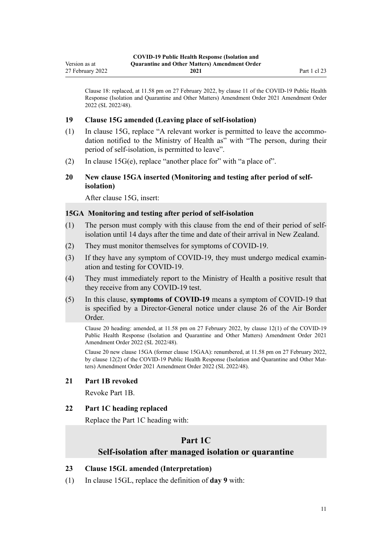<span id="page-10-0"></span>Clause 18: replaced, at 11.58 pm on 27 February 2022, by [clause 11](http://legislation.govt.nz/pdflink.aspx?id=LMS650703) of the COVID-19 Public Health Response (Isolation and Quarantine and Other Matters) Amendment Order 2021 Amendment Order 2022 (SL 2022/48).

#### **19 Clause 15G amended (Leaving place of self-isolation)**

- (1) In [clause 15G](http://legislation.govt.nz/pdflink.aspx?id=LMS415266), replace "A relevant worker is permitted to leave the accommo‐ dation notified to the Ministry of Health as" with "The person, during their period of self-isolation, is permitted to leave".
- (2) In [clause 15G\(e\),](http://legislation.govt.nz/pdflink.aspx?id=LMS415266) replace "another place for" with "a place of".

## **20 New clause 15GA inserted (Monitoring and testing after period of selfisolation)**

After [clause 15G,](http://legislation.govt.nz/pdflink.aspx?id=LMS415266) insert:

## **15GA Monitoring and testing after period of self-isolation**

- (1) The person must comply with this clause from the end of their period of selfisolation until 14 days after the time and date of their arrival in New Zealand.
- (2) They must monitor themselves for symptoms of COVID-19.
- (3) If they have any symptom of COVID-19, they must undergo medical examin‐ ation and testing for COVID-19.
- (4) They must immediately report to the Ministry of Health a positive result that they receive from any COVID-19 test.
- (5) In this clause, **symptoms of COVID-19** means a symptom of COVID-19 that is specified by a Director-General notice under clause 26 of the Air Border Order.

Clause 20 heading: amended, at 11.58 pm on 27 February 2022, by [clause 12\(1\)](http://legislation.govt.nz/pdflink.aspx?id=LMS650704) of the COVID-19 Public Health Response (Isolation and Quarantine and Other Matters) Amendment Order 2021 Amendment Order 2022 (SL 2022/48).

Clause 20 new clause 15GA (former clause 15GAA): renumbered, at 11.58 pm on 27 February 2022, by [clause 12\(2\)](http://legislation.govt.nz/pdflink.aspx?id=LMS650704) of the COVID-19 Public Health Response (Isolation and Quarantine and Other Matters) Amendment Order 2021 Amendment Order 2022 (SL 2022/48).

#### **21 Part 1B revoked**

Revoke [Part 1B](http://legislation.govt.nz/pdflink.aspx?id=LMS585055).

## **22 Part 1C heading replaced**

Replace the [Part 1C](http://legislation.govt.nz/pdflink.aspx?id=LMS596648) heading with:

# **Part 1C Self-isolation after managed isolation or quarantine**

#### **23 Clause 15GL amended (Interpretation)**

(1) In [clause 15GL](http://legislation.govt.nz/pdflink.aspx?id=LMS596636), replace the definition of **day 9** with: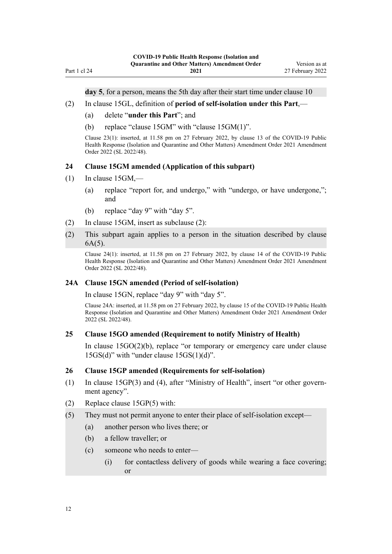**day 5**, for a person, means the 5th day after their start time under clause 10

- (2) In [clause 15GL](http://legislation.govt.nz/pdflink.aspx?id=LMS596636), definition of **period of self-isolation under this Part**,—
	- (a) delete "**under this Part**"; and
	- (b) replace "clause 15GM" with "clause 15GM(1)".

Clause 23(1): inserted, at 11.58 pm on 27 February 2022, by [clause 13](http://legislation.govt.nz/pdflink.aspx?id=LMS650708) of the COVID-19 Public Health Response (Isolation and Quarantine and Other Matters) Amendment Order 2021 Amendment Order 2022 (SL 2022/48).

# **24 Clause 15GM amended (Application of this subpart)**

 $(1)$  In [clause 15GM](http://legislation.govt.nz/pdflink.aspx?id=LMS596637),—

<span id="page-11-0"></span>Part 1 cl 24

- (a) replace "report for, and undergo," with "undergo, or have undergone,"; and
- (b) replace "day 9" with "day 5".
- (2) In [clause 15GM](http://legislation.govt.nz/pdflink.aspx?id=LMS596637), insert as subclause (2):
- (2) This subpart again applies to a person in the situation described by clause 6A(5).

Clause 24(1): inserted, at 11.58 pm on 27 February 2022, by [clause 14](http://legislation.govt.nz/pdflink.aspx?id=LMS650709) of the COVID-19 Public Health Response (Isolation and Quarantine and Other Matters) Amendment Order 2021 Amendment Order 2022 (SL 2022/48).

#### **24A Clause 15GN amended (Period of self-isolation)**

In [clause 15GN](http://legislation.govt.nz/pdflink.aspx?id=LMS596638), replace "day 9" with "day 5".

Clause 24A: inserted, at 11.58 pm on 27 February 2022, by [clause 15](http://legislation.govt.nz/pdflink.aspx?id=LMS650711) of the COVID-19 Public Health Response (Isolation and Quarantine and Other Matters) Amendment Order 2021 Amendment Order 2022 (SL 2022/48).

#### **25 Clause 15GO amended (Requirement to notify Ministry of Health)**

In [clause 15GO\(2\)\(b\),](http://legislation.govt.nz/pdflink.aspx?id=LMS596639) replace "or temporary or emergency care under clause 15GS(d)" with "under clause 15GS(1)(d)".

#### **26 Clause 15GP amended (Requirements for self-isolation)**

- (1) In [clause 15GP\(3\) and \(4\)](http://legislation.govt.nz/pdflink.aspx?id=LMS596640), after "Ministry of Health", insert "or other govern‐ ment agency".
- (2) Replace [clause 15GP\(5\)](http://legislation.govt.nz/pdflink.aspx?id=LMS596640) with:
- (5) They must not permit anyone to enter their place of self-isolation except—
	- (a) another person who lives there; or
	- (b) a fellow traveller; or
	- (c) someone who needs to enter—
		- (i) for contactless delivery of goods while wearing a face covering; or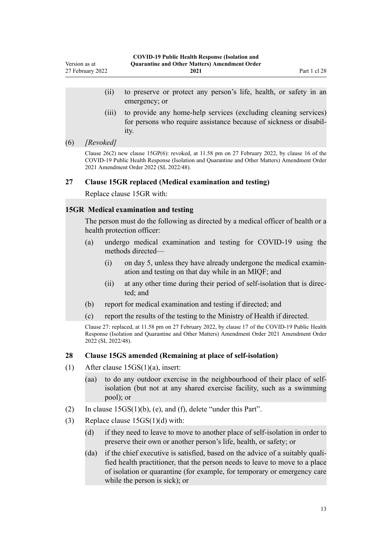- <span id="page-12-0"></span>(ii) to preserve or protect any person's life, health, or safety in an emergency; or
- (iii) to provide any home-help services (excluding cleaning services) for persons who require assistance because of sickness or disability.

#### (6) *[Revoked]*

Clause  $26(2)$  new clause 15GP(6): revoked, at 11.58 pm on 27 February 2022, by [clause 16](http://legislation.govt.nz/pdflink.aspx?id=LMS650712) of the COVID-19 Public Health Response (Isolation and Quarantine and Other Matters) Amendment Order 2021 Amendment Order 2022 (SL 2022/48).

## **27 Clause 15GR replaced (Medical examination and testing)**

Replace [clause 15GR](http://legislation.govt.nz/pdflink.aspx?id=LMS596642) with:

### **15GR Medical examination and testing**

The person must do the following as directed by a medical officer of health or a health protection officer:

- (a) undergo medical examination and testing for COVID-19 using the methods directed—
	- $(i)$  on day 5, unless they have already undergone the medical examination and testing on that day while in an MIQF; and
	- (ii) at any other time during their period of self-isolation that is direc‐ ted; and
- (b) report for medical examination and testing if directed; and
- (c) report the results of the testing to the Ministry of Health if directed.

Clause 27: replaced, at 11.58 pm on 27 February 2022, by [clause 17](http://legislation.govt.nz/pdflink.aspx?id=LMS650715) of the COVID-19 Public Health Response (Isolation and Quarantine and Other Matters) Amendment Order 2021 Amendment Order 2022 (SL 2022/48).

## **28 Clause 15GS amended (Remaining at place of self-isolation)**

- (1) After [clause 15GS\(1\)\(a\)](http://legislation.govt.nz/pdflink.aspx?id=LMS596643), insert:
	- (aa) to do any outdoor exercise in the neighbourhood of their place of selfisolation (but not at any shared exercise facility, such as a swimming pool); or
- (2) In [clause 15GS\(1\)\(b\), \(e\), and \(f\),](http://legislation.govt.nz/pdflink.aspx?id=LMS596643) delete "under this Part".
- (3) Replace [clause 15GS\(1\)\(d\)](http://legislation.govt.nz/pdflink.aspx?id=LMS596643) with:
	- (d) if they need to leave to move to another place of self-isolation in order to preserve their own or another person's life, health, or safety; or
	- (da) if the chief executive is satisfied, based on the advice of a suitably qualified health practitioner, that the person needs to leave to move to a place of isolation or quarantine (for example, for temporary or emergency care while the person is sick); or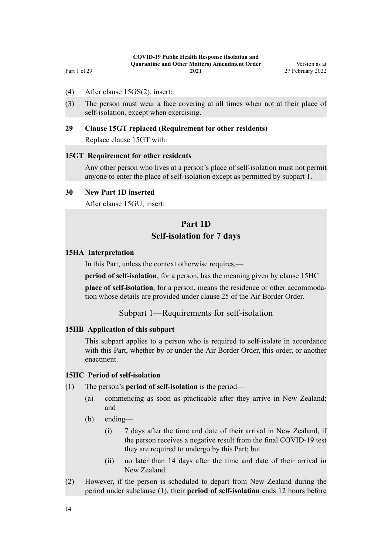- <span id="page-13-0"></span>(4) After [clause 15GS\(2\),](http://legislation.govt.nz/pdflink.aspx?id=LMS596643) insert:
- (3) The person must wear a face covering at all times when not at their place of self-isolation, except when exercising.

### **29 Clause 15GT replaced (Requirement for other residents)**

Replace [clause 15GT](http://legislation.govt.nz/pdflink.aspx?id=LMS596645) with:

#### **15GT Requirement for other residents**

Any other person who lives at a person's place of self-isolation must not permit anyone to enter the place of self-isolation except as permitted by subpart 1.

#### **30 New Part 1D inserted**

After [clause 15GU](http://legislation.govt.nz/pdflink.aspx?id=LMS596646), insert:

# **Part 1D**

# **Self-isolation for 7 days**

#### **15HA Interpretation**

In this Part, unless the context otherwise requires,—

**period of self-isolation**, for a person, has the meaning given by clause 15HC

**place of self-isolation**, for a person, means the residence or other accommodation whose details are provided under clause 25 of the Air Border Order.

# Subpart 1—Requirements for self-isolation

#### **15HB Application of this subpart**

This subpart applies to a person who is required to self-isolate in accordance with this Part, whether by or under the Air Border Order, this order, or another enactment.

#### **15HC Period of self-isolation**

- (1) The person's **period of self-isolation** is the period—
	- (a) commencing as soon as practicable after they arrive in New Zealand; and
	- (b) ending—
		- (i) 7 days after the time and date of their arrival in New Zealand, if the person receives a negative result from the final COVID-19 test they are required to undergo by this Part; but
		- (ii) no later than 14 days after the time and date of their arrival in New Zealand.
- (2) However, if the person is scheduled to depart from New Zealand during the period under subclause (1), their **period of self-isolation** ends 12 hours before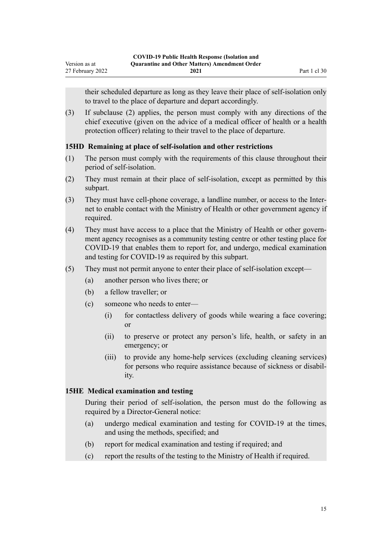<span id="page-14-0"></span>their scheduled departure as long as they leave their place of self-isolation only to travel to the place of departure and depart accordingly.

(3) If subclause (2) applies, the person must comply with any directions of the chief executive (given on the advice of a medical officer of health or a health protection officer) relating to their travel to the place of departure.

## **15HD Remaining at place of self-isolation and other restrictions**

- (1) The person must comply with the requirements of this clause throughout their period of self-isolation.
- (2) They must remain at their place of self-isolation, except as permitted by this subpart.
- (3) They must have cell-phone coverage, a landline number, or access to the Inter‐ net to enable contact with the Ministry of Health or other government agency if required.
- (4) They must have access to a place that the Ministry of Health or other govern‐ ment agency recognises as a community testing centre or other testing place for COVID-19 that enables them to report for, and undergo, medical examination and testing for COVID-19 as required by this subpart.
- (5) They must not permit anyone to enter their place of self-isolation except—
	- (a) another person who lives there; or
	- (b) a fellow traveller; or
	- (c) someone who needs to enter—
		- (i) for contactless delivery of goods while wearing a face covering; or
		- (ii) to preserve or protect any person's life, health, or safety in an emergency; or
		- (iii) to provide any home-help services (excluding cleaning services) for persons who require assistance because of sickness or disability.

### **15HE Medical examination and testing**

During their period of self-isolation, the person must do the following as required by a Director-General notice:

- (a) undergo medical examination and testing for COVID-19 at the times, and using the methods, specified; and
- (b) report for medical examination and testing if required; and
- (c) report the results of the testing to the Ministry of Health if required.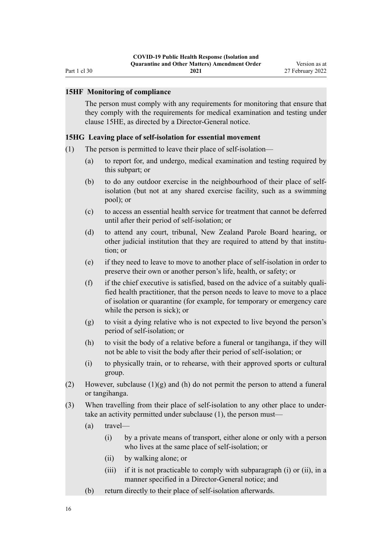#### **15HF Monitoring of compliance**

<span id="page-15-0"></span>Part 1 cl 30

The person must comply with any requirements for monitoring that ensure that they comply with the requirements for medical examination and testing under clause 15HE, as directed by a Director-General notice.

#### **15HG Leaving place of self-isolation for essential movement**

- (1) The person is permitted to leave their place of self-isolation—
	- (a) to report for, and undergo, medical examination and testing required by this subpart; or
	- (b) to do any outdoor exercise in the neighbourhood of their place of selfisolation (but not at any shared exercise facility, such as a swimming pool); or
	- (c) to access an essential health service for treatment that cannot be deferred until after their period of self-isolation; or
	- (d) to attend any court, tribunal, New Zealand Parole Board hearing, or other judicial institution that they are required to attend by that institu‐ tion; or
	- (e) if they need to leave to move to another place of self-isolation in order to preserve their own or another person's life, health, or safety; or
	- (f) if the chief executive is satisfied, based on the advice of a suitably quali‐ fied health practitioner, that the person needs to leave to move to a place of isolation or quarantine (for example, for temporary or emergency care while the person is sick); or
	- (g) to visit a dying relative who is not expected to live beyond the person's period of self-isolation; or
	- (h) to visit the body of a relative before a funeral or tangihanga, if they will not be able to visit the body after their period of self-isolation; or
	- (i) to physically train, or to rehearse, with their approved sports or cultural group.
- (2) However, subclause  $(1)(g)$  and  $(h)$  do not permit the person to attend a funeral or tangihanga.
- (3) When travelling from their place of self-isolation to any other place to under‐ take an activity permitted under subclause (1), the person must—
	- (a) travel—
		- (i) by a private means of transport, either alone or only with a person who lives at the same place of self-isolation; or
		- (ii) by walking alone; or
		- (iii) if it is not practicable to comply with subparagraph (i) or (ii), in a manner specified in a Director-General notice; and
	- (b) return directly to their place of self-isolation afterwards.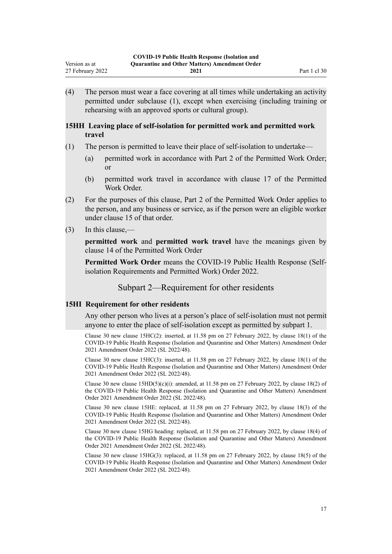<span id="page-16-0"></span>(4) The person must wear a face covering at all times while undertaking an activity permitted under subclause (1), except when exercising (including training or rehearsing with an approved sports or cultural group).

## **15HH Leaving place of self-isolation for permitted work and permitted work travel**

- (1) The person is permitted to leave their place of self-isolation to undertake—
	- (a) permitted work in accordance with Part 2 of the Permitted Work Order; or
	- (b) permitted work travel in accordance with clause 17 of the Permitted Work Order.
- (2) For the purposes of this clause, Part 2 of the Permitted Work Order applies to the person, and any business or service, as if the person were an eligible worker under clause 15 of that order.
- (3) In this clause,—

**permitted work** and **permitted work travel** have the meanings given by clause 14 of the Permitted Work Order

**Permitted Work Order** means the COVID-19 Public Health Response (Selfisolation Requirements and Permitted Work) Order 2022.

Subpart 2—Requirement for other residents

### **15HI Requirement for other residents**

Any other person who lives at a person's place of self-isolation must not permit anyone to enter the place of self-isolation except as permitted by subpart 1.

Clause 30 new clause 15HC(2): inserted, at 11.58 pm on 27 February 2022, by [clause 18\(1\)](http://legislation.govt.nz/pdflink.aspx?id=LMS650724) of the COVID-19 Public Health Response (Isolation and Quarantine and Other Matters) Amendment Order 2021 Amendment Order 2022 (SL 2022/48).

Clause 30 new clause  $15HC(3)$ : inserted, at 11.58 pm on 27 February 2022, by [clause 18\(1\)](http://legislation.govt.nz/pdflink.aspx?id=LMS650724) of the COVID-19 Public Health Response (Isolation and Quarantine and Other Matters) Amendment Order 2021 Amendment Order 2022 (SL 2022/48).

Clause 30 new clause  $15HD(5)(c)(i)$ : amended, at 11.58 pm on 27 February 2022, by [clause 18\(2\)](http://legislation.govt.nz/pdflink.aspx?id=LMS650724) of the COVID-19 Public Health Response (Isolation and Quarantine and Other Matters) Amendment Order 2021 Amendment Order 2022 (SL 2022/48).

Clause 30 new clause 15HE: replaced, at 11.58 pm on 27 February 2022, by [clause 18\(3\)](http://legislation.govt.nz/pdflink.aspx?id=LMS650724) of the COVID-19 Public Health Response (Isolation and Quarantine and Other Matters) Amendment Order 2021 Amendment Order 2022 (SL 2022/48).

Clause 30 new clause 15HG heading: replaced, at 11.58 pm on 27 February 2022, by [clause 18\(4\)](http://legislation.govt.nz/pdflink.aspx?id=LMS650724) of the COVID-19 Public Health Response (Isolation and Quarantine and Other Matters) Amendment Order 2021 Amendment Order 2022 (SL 2022/48).

Clause 30 new clause 15HG(3): replaced, at 11.58 pm on 27 February 2022, by [clause 18\(5\)](http://legislation.govt.nz/pdflink.aspx?id=LMS650724) of the COVID-19 Public Health Response (Isolation and Quarantine and Other Matters) Amendment Order 2021 Amendment Order 2022 (SL 2022/48).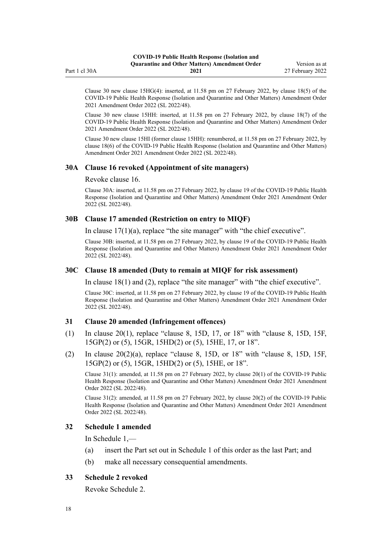<span id="page-17-0"></span>

|               | <b>COVID-19 Public Health Response (Isolation and</b> |                  |
|---------------|-------------------------------------------------------|------------------|
|               | <b>Ouarantine and Other Matters</b> Amendment Order   | Version as at    |
| Part 1 cl 30A | 2021                                                  | 27 February 2022 |

Clause 30 new clause 15HG(4): inserted, at 11.58 pm on 27 February 2022, by [clause 18\(5\)](http://legislation.govt.nz/pdflink.aspx?id=LMS650724) of the COVID-19 Public Health Response (Isolation and Quarantine and Other Matters) Amendment Order 2021 Amendment Order 2022 (SL 2022/48).

Clause 30 new clause 15HH: inserted, at 11.58 pm on 27 February 2022, by [clause 18\(7\)](http://legislation.govt.nz/pdflink.aspx?id=LMS650724) of the COVID-19 Public Health Response (Isolation and Quarantine and Other Matters) Amendment Order 2021 Amendment Order 2022 (SL 2022/48).

Clause 30 new clause 15HI (former clause 15HH): renumbered, at 11.58 pm on 27 February 2022, by [clause 18\(6\)](http://legislation.govt.nz/pdflink.aspx?id=LMS650724) of the COVID-19 Public Health Response (Isolation and Quarantine and Other Matters) Amendment Order 2021 Amendment Order 2022 (SL 2022/48).

#### **30A Clause 16 revoked (Appointment of site managers)**

Revoke [clause 16](http://legislation.govt.nz/pdflink.aspx?id=LMS401727).

Clause 30A: inserted, at 11.58 pm on 27 February 2022, by [clause 19](http://legislation.govt.nz/pdflink.aspx?id=LMS650728) of the COVID-19 Public Health Response (Isolation and Quarantine and Other Matters) Amendment Order 2021 Amendment Order 2022 (SL 2022/48).

#### **30B Clause 17 amended (Restriction on entry to MIQF)**

In clause  $17(1)(a)$ , replace "the site manager" with "the chief executive".

Clause 30B: inserted, at 11.58 pm on 27 February 2022, by [clause 19](http://legislation.govt.nz/pdflink.aspx?id=LMS650728) of the COVID-19 Public Health Response (Isolation and Quarantine and Other Matters) Amendment Order 2021 Amendment Order 2022 (SL 2022/48).

#### **30C Clause 18 amended (Duty to remain at MIQF for risk assessment)**

In [clause 18\(1\) and \(2\),](http://legislation.govt.nz/pdflink.aspx?id=LMS401729) replace "the site manager" with "the chief executive".

Clause 30C: inserted, at 11.58 pm on 27 February 2022, by [clause 19](http://legislation.govt.nz/pdflink.aspx?id=LMS650728) of the COVID-19 Public Health Response (Isolation and Quarantine and Other Matters) Amendment Order 2021 Amendment Order 2022 (SL 2022/48).

#### **31 Clause 20 amended (Infringement offences)**

- (1) In [clause 20\(1\)](http://legislation.govt.nz/pdflink.aspx?id=LMS612968), replace "clause 8, 15D, 17, or 18" with "clause 8, 15D, 15F, 15GP(2) or (5), 15GR, 15HD(2) or (5), 15HE, 17, or 18".
- (2) In clause  $20(2)(a)$ , replace "clause 8, 15D, or 18" with "clause 8, 15D, 15F, 15GP(2) or (5), 15GR, 15HD(2) or (5), 15HE, or 18".

Clause 31(1): amended, at 11.58 pm on 27 February 2022, by [clause 20\(1\)](http://legislation.govt.nz/pdflink.aspx?id=LMS650729) of the COVID-19 Public Health Response (Isolation and Quarantine and Other Matters) Amendment Order 2021 Amendment Order 2022 (SL 2022/48).

Clause 31(2): amended, at 11.58 pm on 27 February 2022, by [clause 20\(2\)](http://legislation.govt.nz/pdflink.aspx?id=LMS650729) of the COVID-19 Public Health Response (Isolation and Quarantine and Other Matters) Amendment Order 2021 Amendment Order 2022 (SL 2022/48).

#### **32 Schedule 1 amended**

In [Schedule 1](http://legislation.govt.nz/pdflink.aspx?id=LMS401747),—

- (a) insert the Part set out in [Schedule 1](#page-19-0) of this order as the last Part; and
- (b) make all necessary consequential amendments.

#### **33 Schedule 2 revoked**

Revoke [Schedule 2.](http://legislation.govt.nz/pdflink.aspx?id=LMS439246)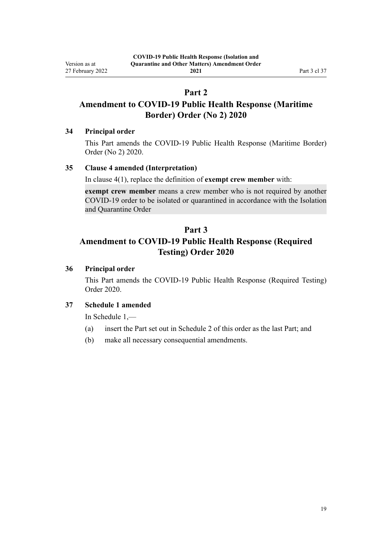# **Part 2**

# <span id="page-18-0"></span>**Amendment to COVID-19 Public Health Response (Maritime Border) Order (No 2) 2020**

# **34 Principal order**

This Part amends the [COVID-19 Public Health Response \(Maritime Border\)](http://legislation.govt.nz/pdflink.aspx?id=LMS403465) [Order \(No 2\) 2020](http://legislation.govt.nz/pdflink.aspx?id=LMS403465).

# **35 Clause 4 amended (Interpretation)**

In [clause 4\(1\)](http://legislation.govt.nz/pdflink.aspx?id=LMS403543), replace the definition of **exempt crew member** with:

**exempt crew member** means a crew member who is not required by another COVID-19 order to be isolated or quarantined in accordance with the Isolation and Quarantine Order

# **Part 3**

# **Amendment to COVID-19 Public Health Response (Required Testing) Order 2020**

# **36 Principal order**

This Part amends the [COVID-19 Public Health Response \(Required Testing\)](http://legislation.govt.nz/pdflink.aspx?id=LMS400301) [Order 2020.](http://legislation.govt.nz/pdflink.aspx?id=LMS400301)

# **37 Schedule 1 amended**

In [Schedule 1](http://legislation.govt.nz/pdflink.aspx?id=LMS400351),—

- (a) insert the Part set out in [Schedule 2](#page-21-0) of this order as the last Part; and
- (b) make all necessary consequential amendments.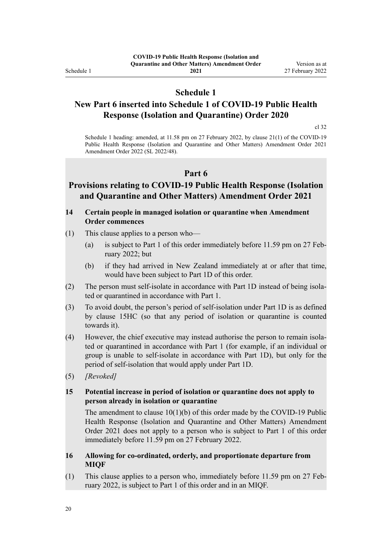<span id="page-19-0"></span>Schedule 1

**2021**

# **Schedule 1**

# **New Part 6 inserted into Schedule 1 of COVID-19 Public Health Response (Isolation and Quarantine) Order 2020**

[cl 32](#page-17-0)

Schedule 1 heading: amended, at 11.58 pm on 27 February 2022, by [clause 21\(1\)](http://legislation.govt.nz/pdflink.aspx?id=LMS650732) of the COVID-19 Public Health Response (Isolation and Quarantine and Other Matters) Amendment Order 2021 Amendment Order 2022 (SL 2022/48).

## **Part 6**

# **Provisions relating to COVID-19 Public Health Response (Isolation and Quarantine and Other Matters) Amendment Order 2021**

## **14 Certain people in managed isolation or quarantine when Amendment Order commences**

- (1) This clause applies to a person who—
	- (a) is subject to Part 1 of this order immediately before 11.59 pm on 27 Feb‐ ruary 2022; but
	- (b) if they had arrived in New Zealand immediately at or after that time, would have been subject to Part 1D of this order.
- (2) The person must self-isolate in accordance with Part 1D instead of being isola‐ ted or quarantined in accordance with Part 1.
- (3) To avoid doubt, the person's period of self-isolation under Part 1D is as defined by clause 15HC (so that any period of isolation or quarantine is counted towards it).
- (4) However, the chief executive may instead authorise the person to remain isola‐ ted or quarantined in accordance with Part 1 (for example, if an individual or group is unable to self-isolate in accordance with Part 1D), but only for the period of self-isolation that would apply under Part 1D.
- (5) *[Revoked]*

# **15 Potential increase in period of isolation or quarantine does not apply to person already in isolation or quarantine**

The amendment to clause  $10(1)(b)$  of this order made by the COVID-19 Public Health Response (Isolation and Quarantine and Other Matters) Amendment Order 2021 does not apply to a person who is subject to Part 1 of this order immediately before 11.59 pm on 27 February 2022.

### **16 Allowing for co-ordinated, orderly, and proportionate departure from MIQF**

(1) This clause applies to a person who, immediately before 11.59 pm on 27 Feb‐ ruary 2022, is subject to Part 1 of this order and in an MIQF.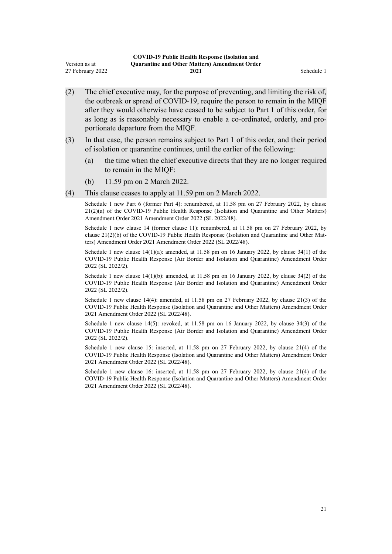|                  | <b>COVID-19 Public Health Response (Isolation and</b> |            |
|------------------|-------------------------------------------------------|------------|
| Version as at    | <b>Ouarantine and Other Matters) Amendment Order</b>  |            |
| 27 February 2022 | 2021                                                  | Schedule 1 |

- (2) The chief executive may, for the purpose of preventing, and limiting the risk of, the outbreak or spread of COVID-19, require the person to remain in the MIQF after they would otherwise have ceased to be subject to Part 1 of this order, for as long as is reasonably necessary to enable a co-ordinated, orderly, and pro‐ portionate departure from the MIQF.
- (3) In that case, the person remains subject to Part 1 of this order, and their period of isolation or quarantine continues, until the earlier of the following:
	- (a) the time when the chief executive directs that they are no longer required to remain in the MIQF:
	- (b) 11.59 pm on 2 March 2022.
- (4) This clause ceases to apply at 11.59 pm on 2 March 2022.

Schedule 1 new Part 6 (former Part 4): renumbered, at 11.58 pm on 27 February 2022, by [clause](http://legislation.govt.nz/pdflink.aspx?id=LMS650732) [21\(2\)\(a\)](http://legislation.govt.nz/pdflink.aspx?id=LMS650732) of the COVID-19 Public Health Response (Isolation and Quarantine and Other Matters) Amendment Order 2021 Amendment Order 2022 (SL 2022/48).

Schedule 1 new clause 14 (former clause 11): renumbered, at 11.58 pm on 27 February 2022, by clause  $21(2)(b)$  of the COVID-19 Public Health Response (Isolation and Ouarantine and Other Matters) Amendment Order 2021 Amendment Order 2022 (SL 2022/48).

Schedule 1 new clause  $14(1)(a)$ : amended, at 11.58 pm on 16 January 2022, by [clause 34\(1\)](http://legislation.govt.nz/pdflink.aspx?id=LMS629340) of the COVID-19 Public Health Response (Air Border and Isolation and Quarantine) Amendment Order 2022 (SL 2022/2).

Schedule 1 new clause  $14(1)(b)$ : amended, at 11.58 pm on 16 January 2022, by clause  $34(2)$  of the COVID-19 Public Health Response (Air Border and Isolation and Quarantine) Amendment Order 2022 (SL 2022/2).

Schedule 1 new clause 14(4): amended, at 11.58 pm on 27 February 2022, by [clause 21\(3\)](http://legislation.govt.nz/pdflink.aspx?id=LMS650732) of the COVID-19 Public Health Response (Isolation and Quarantine and Other Matters) Amendment Order 2021 Amendment Order 2022 (SL 2022/48).

Schedule 1 new clause 14(5): revoked, at 11.58 pm on 16 January 2022, by [clause 34\(3\)](http://legislation.govt.nz/pdflink.aspx?id=LMS629340) of the COVID-19 Public Health Response (Air Border and Isolation and Quarantine) Amendment Order 2022 (SL 2022/2).

Schedule 1 new clause 15: inserted, at 11.58 pm on 27 February 2022, by [clause 21\(4\)](http://legislation.govt.nz/pdflink.aspx?id=LMS650732) of the COVID-19 Public Health Response (Isolation and Quarantine and Other Matters) Amendment Order 2021 Amendment Order 2022 (SL 2022/48).

Schedule 1 new clause 16: inserted, at 11.58 pm on 27 February 2022, by [clause 21\(4\)](http://legislation.govt.nz/pdflink.aspx?id=LMS650732) of the COVID-19 Public Health Response (Isolation and Quarantine and Other Matters) Amendment Order 2021 Amendment Order 2022 (SL 2022/48).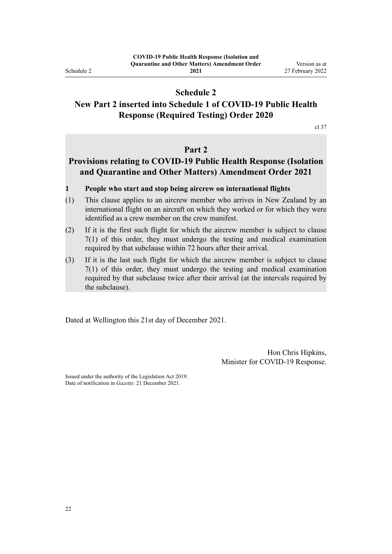<span id="page-21-0"></span>Schedule 2

**2021**

# **Schedule 2**

# **New Part 2 inserted into Schedule 1 of COVID-19 Public Health Response (Required Testing) Order 2020**

[cl 37](#page-18-0)

# **Part 2**

# **Provisions relating to COVID-19 Public Health Response (Isolation and Quarantine and Other Matters) Amendment Order 2021**

### **1 People who start and stop being aircrew on international flights**

- (1) This clause applies to an aircrew member who arrives in New Zealand by an international flight on an aircraft on which they worked or for which they were identified as a crew member on the crew manifest.
- (2) If it is the first such flight for which the aircrew member is subject to clause 7(1) of this order, they must undergo the testing and medical examination required by that subclause within 72 hours after their arrival.
- (3) If it is the last such flight for which the aircrew member is subject to clause 7(1) of this order, they must undergo the testing and medical examination required by that subclause twice after their arrival (at the intervals required by the subclause).

Dated at Wellington this 21st day of December 2021.

Hon Chris Hipkins, Minister for COVID-19 Response.

Issued under the authority of the [Legislation Act 2019](http://legislation.govt.nz/pdflink.aspx?id=DLM7298104). Date of notification in *Gazette*: 21 December 2021.